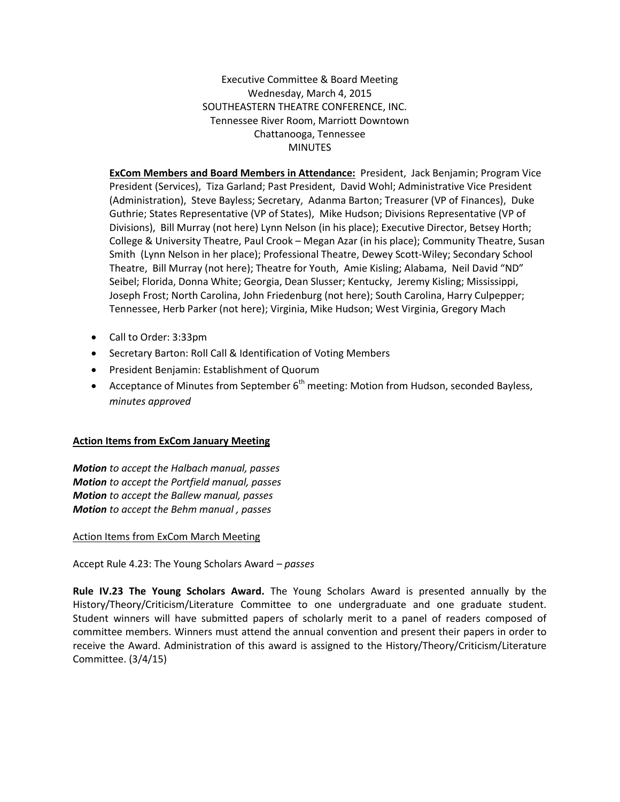Executive Committee & Board Meeting Wednesday, March 4, 2015 SOUTHEASTERN THEATRE CONFERENCE, INC. Tennessee River Room, Marriott Downtown Chattanooga, Tennessee MINUTES

**ExCom Members and Board Members in Attendance:** President, Jack Benjamin; Program Vice President (Services), Tiza Garland; Past President, David Wohl; Administrative Vice President (Administration), Steve Bayless; Secretary, Adanma Barton; Treasurer (VP of Finances), Duke Guthrie; States Representative (VP of States), Mike Hudson; Divisions Representative (VP of Divisions), Bill Murray (not here) Lynn Nelson (in his place); Executive Director, Betsey Horth; College & University Theatre, Paul Crook – Megan Azar (in his place); Community Theatre, Susan Smith (Lynn Nelson in her place); Professional Theatre, Dewey Scott-Wiley; Secondary School Theatre, Bill Murray (not here); Theatre for Youth, Amie Kisling; Alabama, Neil David "ND" Seibel; Florida, Donna White; Georgia, Dean Slusser; Kentucky, Jeremy Kisling; Mississippi, Joseph Frost; North Carolina, John Friedenburg (not here); South Carolina, Harry Culpepper; Tennessee, Herb Parker (not here); Virginia, Mike Hudson; West Virginia, Gregory Mach

- Call to Order: 3:33pm
- Secretary Barton: Roll Call & Identification of Voting Members
- President Benjamin: Establishment of Quorum
- Acceptance of Minutes from September  $6<sup>th</sup>$  meeting: Motion from Hudson, seconded Bayless, *minutes approved*

# **Action Items from ExCom January Meeting**

*Motion to accept the Halbach manual, passes Motion to accept the Portfield manual, passes Motion to accept the Ballew manual, passes Motion to accept the Behm manual , passes*

### Action Items from ExCom March Meeting

Accept Rule 4.23: The Young Scholars Award *– passes*

**Rule IV.23 The Young Scholars Award.** The Young Scholars Award is presented annually by the History/Theory/Criticism/Literature Committee to one undergraduate and one graduate student. Student winners will have submitted papers of scholarly merit to a panel of readers composed of committee members. Winners must attend the annual convention and present their papers in order to receive the Award. Administration of this award is assigned to the History/Theory/Criticism/Literature Committee. (3/4/15)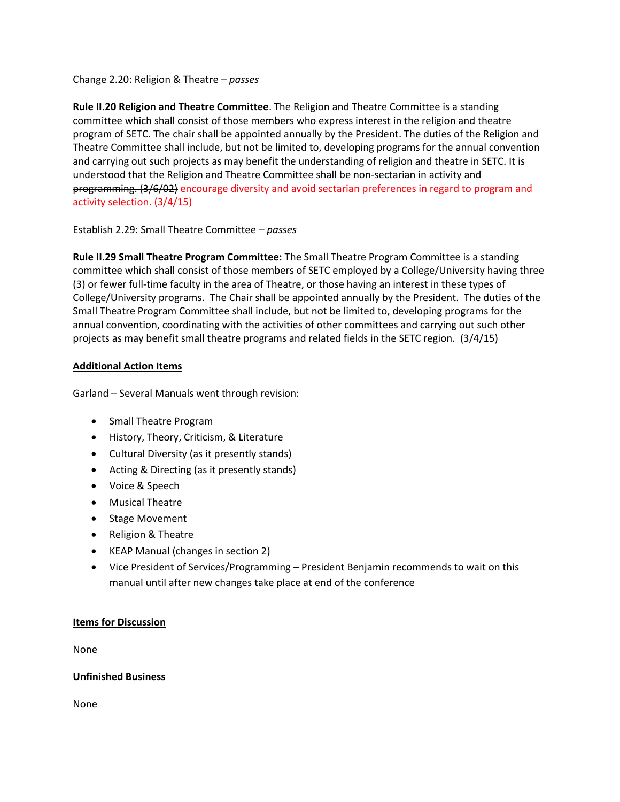Change 2.20: Religion & Theatre *– passes*

**Rule II.20 Religion and Theatre Committee**. The Religion and Theatre Committee is a standing committee which shall consist of those members who express interest in the religion and theatre program of SETC. The chair shall be appointed annually by the President. The duties of the Religion and Theatre Committee shall include, but not be limited to, developing programs for the annual convention and carrying out such projects as may benefit the understanding of religion and theatre in SETC. It is understood that the Religion and Theatre Committee shall be non-sectarian in activity and programming. (3/6/02) encourage diversity and avoid sectarian preferences in regard to program and activity selection. (3/4/15)

# Establish 2.29: Small Theatre Committee *– passes*

**Rule II.29 Small Theatre Program Committee:** The Small Theatre Program Committee is a standing committee which shall consist of those members of SETC employed by a College/University having three (3) or fewer full-time faculty in the area of Theatre, or those having an interest in these types of College/University programs. The Chair shall be appointed annually by the President. The duties of the Small Theatre Program Committee shall include, but not be limited to, developing programs for the annual convention, coordinating with the activities of other committees and carrying out such other projects as may benefit small theatre programs and related fields in the SETC region. (3/4/15)

# **Additional Action Items**

Garland – Several Manuals went through revision:

- Small Theatre Program
- History, Theory, Criticism, & Literature
- Cultural Diversity (as it presently stands)
- Acting & Directing (as it presently stands)
- Voice & Speech
- Musical Theatre
- Stage Movement
- Religion & Theatre
- KEAP Manual (changes in section 2)
- Vice President of Services/Programming President Benjamin recommends to wait on this manual until after new changes take place at end of the conference

### **Items for Discussion**

None

# **Unfinished Business**

None